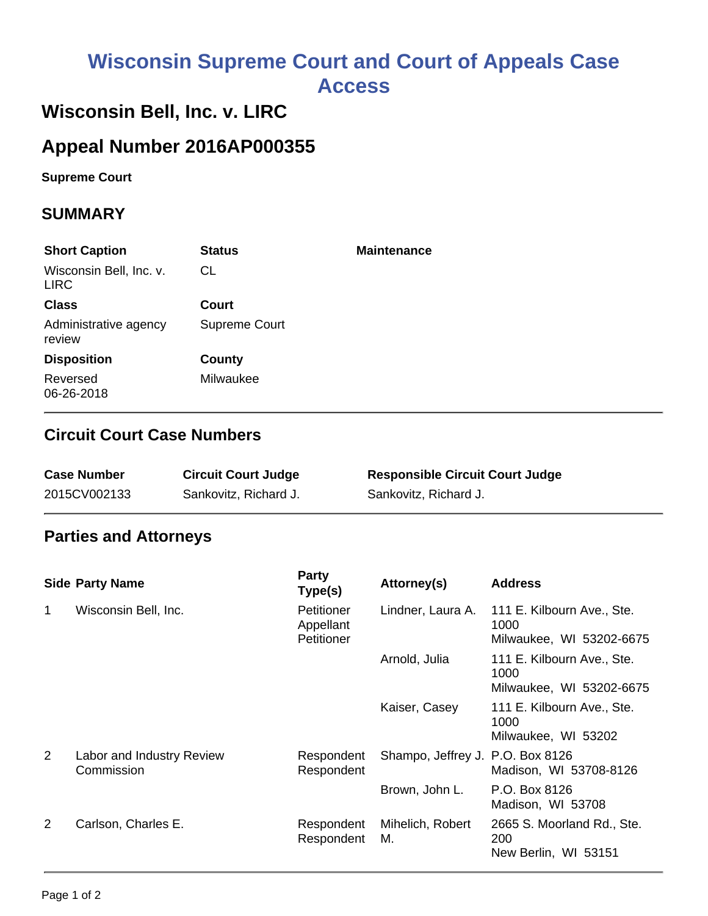# **Wisconsin Supreme Court and Court of Appeals Case Access**

# **Wisconsin Bell, Inc. v. LIRC**

## **Appeal Number 2016AP000355**

**Supreme Court** 

#### **SUMMARY**

| <b>Short Caption</b>                   | <b>Status</b> | <b>Maintenance</b> |
|----------------------------------------|---------------|--------------------|
| Wisconsin Bell, Inc. v.<br><b>LIRC</b> | CL            |                    |
| <b>Class</b>                           | <b>Court</b>  |                    |
| Administrative agency<br>review        | Supreme Court |                    |
| <b>Disposition</b>                     | County        |                    |
| Reversed<br>06-26-2018                 | Milwaukee     |                    |

#### **Circuit Court Case Numbers**

| <b>Case Number</b> | <b>Circuit Court Judge</b> | <b>Responsible Circuit Court Judge</b> |
|--------------------|----------------------------|----------------------------------------|
| 2015CV002133       | Sankovitz, Richard J.      | Sankovitz, Richard J.                  |

### **Parties and Attorneys**

|                | <b>Side Party Name</b>                  | <b>Party</b><br>Type(s)               | Attorney(s)                      | <b>Address</b>                                                 |
|----------------|-----------------------------------------|---------------------------------------|----------------------------------|----------------------------------------------------------------|
| 1              | Wisconsin Bell, Inc.                    | Petitioner<br>Appellant<br>Petitioner | Lindner, Laura A.                | 111 E. Kilbourn Ave., Ste.<br>1000<br>Milwaukee, WI 53202-6675 |
|                |                                         |                                       | Arnold, Julia                    | 111 E. Kilbourn Ave., Ste.<br>1000<br>Milwaukee, WI 53202-6675 |
|                |                                         |                                       | Kaiser, Casey                    | 111 E. Kilbourn Ave., Ste.<br>1000<br>Milwaukee, WI 53202      |
| $\overline{2}$ | Labor and Industry Review<br>Commission | Respondent<br>Respondent              | Shampo, Jeffrey J. P.O. Box 8126 | Madison, WI 53708-8126                                         |
|                |                                         |                                       | Brown, John L.                   | P.O. Box 8126<br>Madison, WI 53708                             |
| $\overline{2}$ | Carlson, Charles E.                     | Respondent<br>Respondent              | Mihelich, Robert<br>М.           | 2665 S. Moorland Rd., Ste.<br>200<br>New Berlin, WI 53151      |